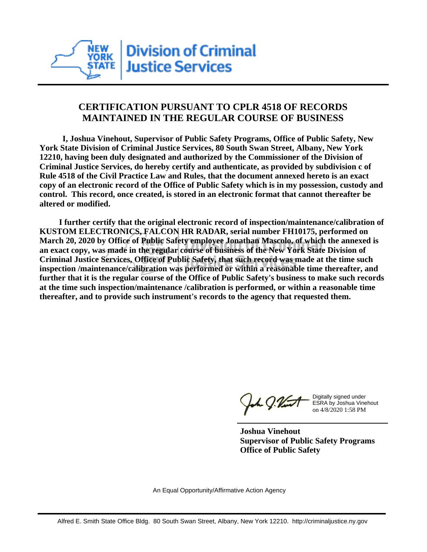

## **CERTIFICATION PURSUANT TO CPLR 4518 OF RECORDS MAINTAINED IN THE REGULAR COURSE OF BUSINESS**

 **I, Joshua Vinehout, Supervisor of Public Safety Programs, Office of Public Safety, New York State Division of Criminal Justice Services, 80 South Swan Street, Albany, New York 12210, having been duly designated and authorized by the Commissioner of the Division of Criminal Justice Services, do hereby certify and authenticate, as provided by subdivision c of Rule 4518 of the Civil Practice Law and Rules, that the document annexed hereto is an exact copy of an electronic record of the Office of Public Safety which is in my possession, custody and control. This record, once created, is stored in an electronic format that cannot thereafter be altered or modified.**

 **I further certify that the original electronic record of inspection/maintenance/calibration of KUSTOM ELECTRONICS, FALCON HR RADAR, serial number FH10175, performed on March 20, 2020 by Office of Public Safety employee Jonathan Mascolo, of which the annexed is an exact copy, was made in the regular course of business of the New York State Division of Criminal Justice Services, Office of Public Safety, that such record was made at the time such inspection /maintenance/calibration was performed or within a reasonable time thereafter, and further that it is the regular course of the Office of Public Safety's business to make such records at the time such inspection/maintenance /calibration is performed, or within a reasonable time thereafter, and to provide such instrument's records to the agency that requested them.**

h J.Vint

Digitally signed under ESRA by Joshua Vinehout on 4/8/2020 1:58 PM

**Joshua Vinehout Supervisor of Public Safety Programs Office of Public Safety**

An Equal Opportunity/Affirmative Action Agency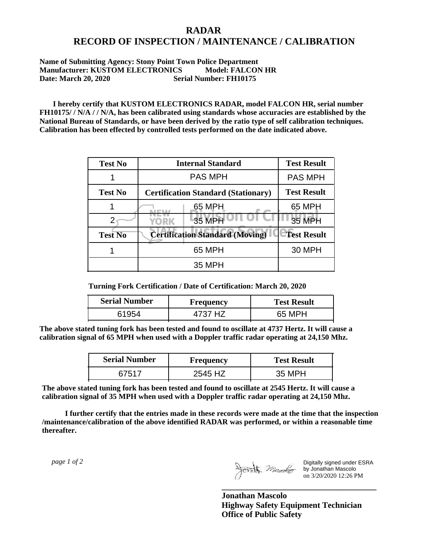## **RADAR RECORD OF INSPECTION / MAINTENANCE / CALIBRATION**

## **Name of Submitting Agency: Stony Point Town Police Department Manufacturer: KUSTOM ELECTRONICS Model: FALCON HR Date: March 20, 2020 Serial Number: FH10175**

 **I hereby certify that KUSTOM ELECTRONICS RADAR, model FALCON HR, serial number FH10175/ / N/A / / N/A, has been calibrated using standards whose accuracies are established by the National Bureau of Standards, or have been derived by the ratio type of self calibration techniques. Calibration has been effected by controlled tests performed on the date indicated above.**

| <b>Test No</b> | <b>Internal Standard</b>                   | <b>Test Result</b> |
|----------------|--------------------------------------------|--------------------|
|                | <b>PAS MPH</b>                             | <b>PAS MPH</b>     |
| <b>Test No</b> | <b>Certification Standard (Stationary)</b> | <b>Test Result</b> |
|                | 65 MPH                                     | 65 MPH             |
|                | 35 MPH<br>YORK                             | <b>35 MPH</b>      |
| <b>Test No</b> | <b>Certification Standard (Moving)</b>     | <b>Test Result</b> |
|                | 65 MPH                                     | 30 MPH             |
|                | <b>35 MPH</b>                              |                    |

**Turning Fork Certification / Date of Certification: March 20, 2020**

| <b>Serial Number</b> | Frequency | <b>Test Result</b> |
|----------------------|-----------|--------------------|
|                      | 1737 H7   | 65 MPH             |

**The above stated tuning fork has been tested and found to oscillate at 4737 Hertz. It will cause a calibration signal of 65 MPH when used with a Doppler traffic radar operating at 24,150 Mhz.**

| <b>Serial Number</b> | Frequency | <b>Test Result</b> |
|----------------------|-----------|--------------------|
| 67517                | 2545 HZ   | 35 MPH             |

**The above stated tuning fork has been tested and found to oscillate at 2545 Hertz. It will cause a calibration signal of 35 MPH when used with a Doppler traffic radar operating at 24,150 Mhz.**

 **I further certify that the entries made in these records were made at the time that the inspection /maintenance/calibration of the above identified RADAR was performed, or within a reasonable time thereafter.**

 *page 1 of 2* 

Digitally signed under ESRA by Jonathan Mascolo on 3/20/2020 12:26 PM

**Jonathan Mascolo Highway Safety Equipment Technician Office of Public Safety**

**\_\_\_\_\_\_\_\_\_\_\_\_\_\_\_\_\_\_\_\_\_\_\_\_\_\_\_\_\_\_\_\_\_\_\_\_\_**